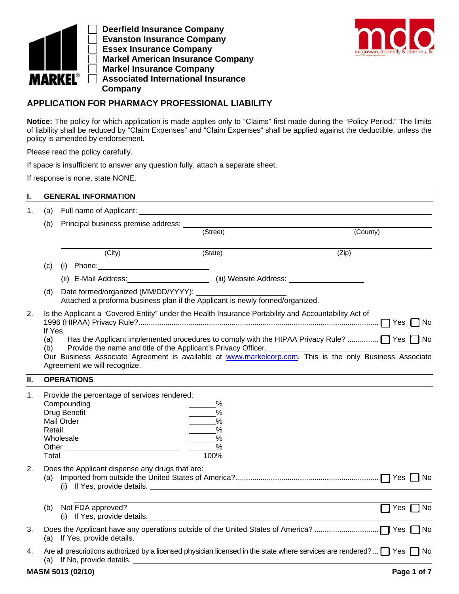

 **Deerfield Insurance Company Evanston Insurance Company Essex Insurance Company Markel American Insurance Company Markel Insurance Company Associated International Insurance Company**



## **APPLICATION FOR PHARMACY PROFESSIONAL LIABILITY**

**Notice:** The policy for which application is made applies only to "Claims" first made during the "Policy Period." The limits of liability shall be reduced by "Claim Expenses" and "Claim Expenses" shall be applied against the deductible, unless the policy is amended by endorsement.

Please read the policy carefully.

If space is insufficient to answer any question fully, attach a separate sheet.

If response is none, state NONE.

| I. |                                                                                                      | <b>GENERAL INFORMATION</b>                                                                                                                                                                                                     |                                                                              |                                                                                                                                                                                                                              |  |  |  |
|----|------------------------------------------------------------------------------------------------------|--------------------------------------------------------------------------------------------------------------------------------------------------------------------------------------------------------------------------------|------------------------------------------------------------------------------|------------------------------------------------------------------------------------------------------------------------------------------------------------------------------------------------------------------------------|--|--|--|
| 1. | (a)                                                                                                  |                                                                                                                                                                                                                                |                                                                              |                                                                                                                                                                                                                              |  |  |  |
|    | (b)                                                                                                  |                                                                                                                                                                                                                                |                                                                              |                                                                                                                                                                                                                              |  |  |  |
|    |                                                                                                      |                                                                                                                                                                                                                                | (Street)                                                                     | (County)                                                                                                                                                                                                                     |  |  |  |
|    |                                                                                                      | (City)                                                                                                                                                                                                                         | $\overline{\text{(State)}}$                                                  | (Zip)                                                                                                                                                                                                                        |  |  |  |
|    | (c)                                                                                                  |                                                                                                                                                                                                                                |                                                                              |                                                                                                                                                                                                                              |  |  |  |
|    |                                                                                                      | (ii) E-Mail Address: (iii) Website Address: (iii) Website Address:                                                                                                                                                             |                                                                              |                                                                                                                                                                                                                              |  |  |  |
|    | (d)                                                                                                  | Date formed/organized (MM/DD/YYYY):<br>Attached a proforma business plan if the Applicant is newly formed/organized.                                                                                                           |                                                                              |                                                                                                                                                                                                                              |  |  |  |
| 2. | Is the Applicant a "Covered Entity" under the Health Insurance Portability and Accountability Act of |                                                                                                                                                                                                                                |                                                                              |                                                                                                                                                                                                                              |  |  |  |
|    | If Yes.<br>(a)<br>(b)                                                                                | Provide the name and title of the Applicant's Privacy Officer.                                                                                                                                                                 |                                                                              |                                                                                                                                                                                                                              |  |  |  |
|    |                                                                                                      | Agreement we will recognize.                                                                                                                                                                                                   |                                                                              | Our Business Associate Agreement is available at www.markelcorp.com. This is the only Business Associate<br>and the control of the control of the control of the control of the control of the control of the control of the |  |  |  |
| П. |                                                                                                      | <b>OPERATIONS</b>                                                                                                                                                                                                              |                                                                              |                                                                                                                                                                                                                              |  |  |  |
| 1. | Retail<br>Total                                                                                      | Provide the percentage of services rendered:<br>Compounding<br>Drug Benefit<br>Mail Order<br>Wholesale                                                                                                                         | %<br>$\%$<br>$\frac{0}{0}$<br>$\frac{0}{0}$<br>$\frac{9}{6}$<br>$\%$<br>100% |                                                                                                                                                                                                                              |  |  |  |
| 2. |                                                                                                      | Does the Applicant dispense any drugs that are:                                                                                                                                                                                |                                                                              |                                                                                                                                                                                                                              |  |  |  |
|    |                                                                                                      | (b) Not FDA approved?<br>(i) If Yes, provide details.                                                                                                                                                                          |                                                                              | $\Box$ Yes $\Box$ No                                                                                                                                                                                                         |  |  |  |
| 3. |                                                                                                      | (a) If Yes, provide details. The contract of the contract of the contract of the contract of the contract of the contract of the contract of the contract of the contract of the contract of the contract of the contract of t |                                                                              |                                                                                                                                                                                                                              |  |  |  |
| 4. |                                                                                                      |                                                                                                                                                                                                                                |                                                                              | Are all prescriptions authorized by a licensed physician licensed in the state where services are rendered? I Yes I No                                                                                                       |  |  |  |
|    |                                                                                                      | MASM 5013 (02/10)                                                                                                                                                                                                              |                                                                              | Page 1 of 7                                                                                                                                                                                                                  |  |  |  |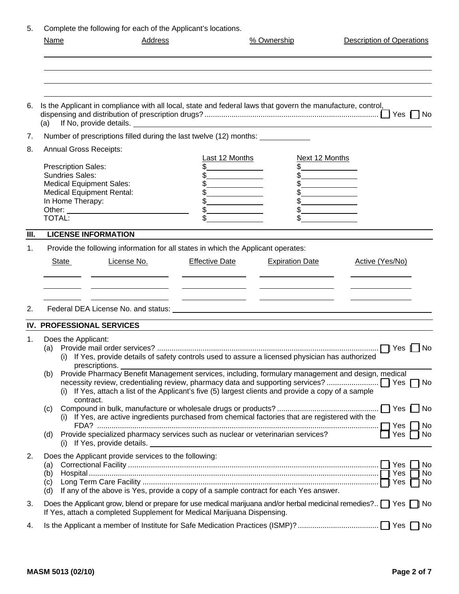5. Complete the following for each of the Applicant's locations. Name Address Address 26 Ownership Description of Operations 6. Is the Applicant in compliance with all local, state and federal laws that govern the manufacture, control, dispensing and distribution of prescription drugs? .................................................................................... [ ] Yes [ ] No (a) If No, provide details. 7. Number of prescriptions filled during the last twelve (12) months: 8. Annual Gross Receipts: Last 12 Months Next 12 Months Prescription Sales:  $$$ Sundries Sales:  $$$ Medical Equipment Sales:  $$$ Medical Equipment Rental:  $\qquad \qquad \text{\$}$ In Home Therapy:  $$$ Other: \$ \$ TOTAL:  $\qquad \qquad \, \text{S} \qquad \qquad \, \text{S}$ **III. LICENSE INFORMATION** 1. Provide the following information for all states in which the Applicant operates: State License No. Effective Date Expiration Date Active (Yes/No) 2. Federal DEA License No. and status: **IV. PROFESSIONAL SERVICES**  1. Does the Applicant: (a) Provide mail order services? ........................................................................................................... [ ] Yes [ ] No (i) If Yes, provide details of safety controls used to assure a licensed physician has authorized prescriptions. (b) Provide Pharmacy Benefit Management services, including, formulary management and design, medical necessity review, credentialing review, pharmacy data and supporting services? ......................... [ ] Yes [ ] No (i) If Yes, attach a list of the Applicant's five (5) largest clients and provide a copy of a sample contract. (c) Compound in bulk, manufacture or wholesale drugs or products? ................................................. [ ] Yes [ ] No (i) If Yes, are active ingredients purchased from chemical factories that are registered with the FDA? ........................................................................................................................................ [ ] Yes [ ] No (d) Provide specialized pharmacy services such as nuclear or veterinarian services?  $\Box$  Yes  $\Box$  Yes  $\Box$  No (i) If Yes, provide details. 2. Does the Applicant provide services to the following: (a) Correctional Facility ......................................................................................................................... [ ] Yes [ ] No (b) Hospital ............................................................................................................................................ [ ] Yes [ ] No (c) Long Term Care Facility .................................................................................................................. [ ] Yes [ ] No (d) If any of the above is Yes, provide a copy of a sample contract for each Yes answer. 3. Does the Applicant grow, blend or prepare for use medical marijuana and/or herbal medicinal remedies?.. in Yes in No If Yes, attach a completed Supplement for Medical Marijuana Dispensing.

4. Is the Applicant a member of Institute for Safe Medication Practices (ISMP)? ....................................... [ ] Yes [ ] No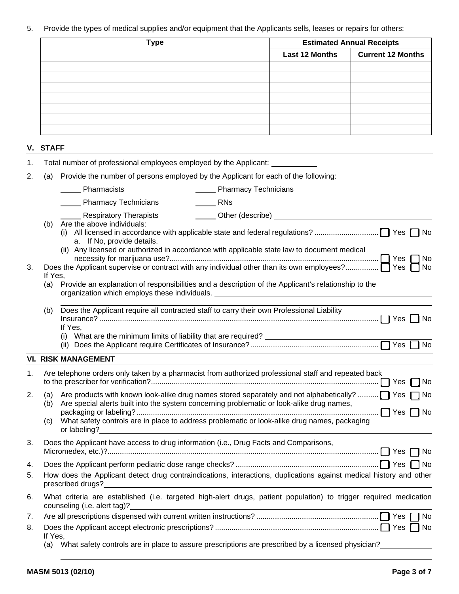5. Provide the types of medical supplies and/or equipment that the Applicants sells, leases or repairs for others:

| <b>Type</b>  | <b>Estimated Annual Receipts</b> |                          |  |
|--------------|----------------------------------|--------------------------|--|
|              | <b>Last 12 Months</b>            | <b>Current 12 Months</b> |  |
|              |                                  |                          |  |
|              |                                  |                          |  |
|              |                                  |                          |  |
|              |                                  |                          |  |
|              |                                  |                          |  |
|              |                                  |                          |  |
|              |                                  |                          |  |
|              |                                  |                          |  |
| <b>CTACE</b> |                                  |                          |  |

|    | V. STAFF                                                                                                                                                    |                                                                                                                                                                                                                                      |  |  |  |  |  |  |
|----|-------------------------------------------------------------------------------------------------------------------------------------------------------------|--------------------------------------------------------------------------------------------------------------------------------------------------------------------------------------------------------------------------------------|--|--|--|--|--|--|
| 1. |                                                                                                                                                             | Total number of professional employees employed by the Applicant:                                                                                                                                                                    |  |  |  |  |  |  |
| 2. | (a)                                                                                                                                                         | Provide the number of persons employed by the Applicant for each of the following:                                                                                                                                                   |  |  |  |  |  |  |
|    |                                                                                                                                                             | Pharmacists<br><b>National Pharmacy Technicians</b>                                                                                                                                                                                  |  |  |  |  |  |  |
|    |                                                                                                                                                             | <b>Example 2</b> Pharmacy Technicians<br><b>Example RNs</b>                                                                                                                                                                          |  |  |  |  |  |  |
|    |                                                                                                                                                             | <b>Respiratory Therapists</b>                                                                                                                                                                                                        |  |  |  |  |  |  |
|    | (b)                                                                                                                                                         | Are the above individuals:<br>a. If No, provide details.<br>(ii) Any licensed or authorized in accordance with applicable state law to document medical                                                                              |  |  |  |  |  |  |
|    |                                                                                                                                                             | No                                                                                                                                                                                                                                   |  |  |  |  |  |  |
| 3. |                                                                                                                                                             | No<br>If Yes,                                                                                                                                                                                                                        |  |  |  |  |  |  |
|    | Provide an explanation of responsibilities and a description of the Applicant's relationship to the<br>(a)<br>organization which employs these individuals. |                                                                                                                                                                                                                                      |  |  |  |  |  |  |
|    | (b)                                                                                                                                                         | Does the Applicant require all contracted staff to carry their own Professional Liability<br>If Yes,                                                                                                                                 |  |  |  |  |  |  |
|    |                                                                                                                                                             | <b>VI. RISK MANAGEMENT</b>                                                                                                                                                                                                           |  |  |  |  |  |  |
| 1. |                                                                                                                                                             | Are telephone orders only taken by a pharmacist from authorized professional staff and repeated back                                                                                                                                 |  |  |  |  |  |  |
| 2. | (a)                                                                                                                                                         | Are products with known look-alike drug names stored separately and not alphabetically?  I Yes no                                                                                                                                    |  |  |  |  |  |  |
|    | (b)                                                                                                                                                         | Are special alerts built into the system concerning problematic or look-alike drug names,                                                                                                                                            |  |  |  |  |  |  |
|    | (c)                                                                                                                                                         | What safety controls are in place to address problematic or look-alike drug names, packaging<br>or labeling?<br><u> 1989 - Jan Samuel Barbara, martin da shekarar 1980 - An tsara tsara tsara tsara tsara tsara tsara tsara tsar</u> |  |  |  |  |  |  |
| 3. |                                                                                                                                                             | Does the Applicant have access to drug information (i.e., Drug Facts and Comparisons,                                                                                                                                                |  |  |  |  |  |  |
| 4. |                                                                                                                                                             |                                                                                                                                                                                                                                      |  |  |  |  |  |  |
| 5. |                                                                                                                                                             | How does the Applicant detect drug contraindications, interactions, duplications against medical history and other<br>prescribed drugs?                                                                                              |  |  |  |  |  |  |
| 6. |                                                                                                                                                             | What criteria are established (i.e. targeted high-alert drugs, patient population) to trigger required medication<br>counseling (i.e. alert tag)?                                                                                    |  |  |  |  |  |  |
| 7. |                                                                                                                                                             | No                                                                                                                                                                                                                                   |  |  |  |  |  |  |
| 8. | If Yes,                                                                                                                                                     |                                                                                                                                                                                                                                      |  |  |  |  |  |  |

(a) What safety controls are in place to assure prescriptions are prescribed by a licensed physician?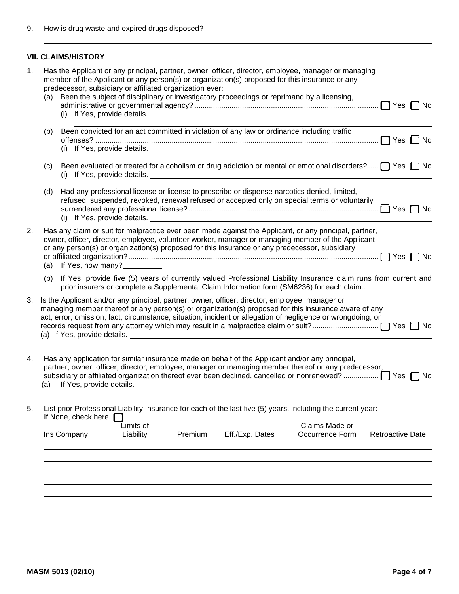|          | Has the Applicant or any principal, partner, owner, officer, director, employee, manager or managing                                                                                                            |                                                                                                   |           |         |                                                                                                |                                                                                                                                                                                                                                                     |                         |  |  |
|----------|-----------------------------------------------------------------------------------------------------------------------------------------------------------------------------------------------------------------|---------------------------------------------------------------------------------------------------|-----------|---------|------------------------------------------------------------------------------------------------|-----------------------------------------------------------------------------------------------------------------------------------------------------------------------------------------------------------------------------------------------------|-------------------------|--|--|
|          | member of the Applicant or any person(s) or organization(s) proposed for this insurance or any<br>predecessor, subsidiary or affiliated organization ever:                                                      |                                                                                                   |           |         |                                                                                                |                                                                                                                                                                                                                                                     |                         |  |  |
|          |                                                                                                                                                                                                                 |                                                                                                   |           |         | (a) Been the subject of disciplinary or investigatory proceedings or reprimand by a licensing, |                                                                                                                                                                                                                                                     |                         |  |  |
|          |                                                                                                                                                                                                                 |                                                                                                   |           |         |                                                                                                |                                                                                                                                                                                                                                                     |                         |  |  |
|          |                                                                                                                                                                                                                 |                                                                                                   |           |         |                                                                                                | (i) If Yes, provide details.                                                                                                                                                                                                                        |                         |  |  |
|          | (b)                                                                                                                                                                                                             |                                                                                                   |           |         | Been convicted for an act committed in violation of any law or ordinance including traffic     |                                                                                                                                                                                                                                                     |                         |  |  |
|          |                                                                                                                                                                                                                 | (i)                                                                                               |           |         |                                                                                                | If Yes, provide details. Letter and the set of the set of the set of the set of the set of the set of the set of the set of the set of the set of the set of the set of the set of the set of the set of the set of the set of                      |                         |  |  |
|          | (C)                                                                                                                                                                                                             |                                                                                                   |           |         |                                                                                                | Been evaluated or treated for alcoholism or drug addiction or mental or emotional disorders? TYes TNo                                                                                                                                               |                         |  |  |
|          | (d)                                                                                                                                                                                                             |                                                                                                   |           |         |                                                                                                | Had any professional license or license to prescribe or dispense narcotics denied, limited,                                                                                                                                                         |                         |  |  |
|          |                                                                                                                                                                                                                 |                                                                                                   |           |         |                                                                                                | refused, suspended, revoked, renewal refused or accepted only on special terms or voluntarily                                                                                                                                                       |                         |  |  |
|          |                                                                                                                                                                                                                 |                                                                                                   |           |         | (i) If Yes, provide details.                                                                   |                                                                                                                                                                                                                                                     |                         |  |  |
| 2.       |                                                                                                                                                                                                                 |                                                                                                   |           |         |                                                                                                | Has any claim or suit for malpractice ever been made against the Applicant, or any principal, partner,                                                                                                                                              |                         |  |  |
|          |                                                                                                                                                                                                                 | owner, officer, director, employee, volunteer worker, manager or managing member of the Applicant |           |         |                                                                                                |                                                                                                                                                                                                                                                     |                         |  |  |
|          | or any person(s) or organization(s) proposed for this insurance or any predecessor, subsidiary<br>$\Box$ Yes $\Box$ No                                                                                          |                                                                                                   |           |         |                                                                                                |                                                                                                                                                                                                                                                     |                         |  |  |
|          | (a) If Yes, how many?                                                                                                                                                                                           |                                                                                                   |           |         |                                                                                                |                                                                                                                                                                                                                                                     |                         |  |  |
|          | (b) If Yes, provide five (5) years of currently valued Professional Liability Insurance claim runs from current and<br>prior insurers or complete a Supplemental Claim Information form (SM6236) for each claim |                                                                                                   |           |         |                                                                                                |                                                                                                                                                                                                                                                     |                         |  |  |
| 3.       |                                                                                                                                                                                                                 |                                                                                                   |           |         | Is the Applicant and/or any principal, partner, owner, officer, director, employee, manager or | managing member thereof or any person(s) or organization(s) proposed for this insurance aware of any<br>act, error, omission, fact, circumstance, situation, incident or allegation of negligence or wrongdoing, or<br>(a) If Yes, provide details. |                         |  |  |
|          |                                                                                                                                                                                                                 |                                                                                                   |           |         |                                                                                                | Has any application for similar insurance made on behalf of the Applicant and/or any principal,                                                                                                                                                     |                         |  |  |
|          | (a)                                                                                                                                                                                                             | If Yes, provide details.                                                                          |           |         |                                                                                                | partner, owner, officer, director, employee, manager or managing member thereof or any predecessor,                                                                                                                                                 |                         |  |  |
|          |                                                                                                                                                                                                                 | If None, check here.                                                                              |           |         |                                                                                                | List prior Professional Liability Insurance for each of the last five (5) years, including the current year:                                                                                                                                        |                         |  |  |
|          |                                                                                                                                                                                                                 |                                                                                                   | Limits of |         |                                                                                                | Claims Made or                                                                                                                                                                                                                                      |                         |  |  |
|          |                                                                                                                                                                                                                 | Ins Company                                                                                       | Liability | Premium | Eff./Exp. Dates                                                                                | Occurrence Form                                                                                                                                                                                                                                     | <b>Retroactive Date</b> |  |  |
| 4.<br>5. |                                                                                                                                                                                                                 |                                                                                                   |           |         |                                                                                                |                                                                                                                                                                                                                                                     |                         |  |  |
|          |                                                                                                                                                                                                                 |                                                                                                   |           |         |                                                                                                |                                                                                                                                                                                                                                                     |                         |  |  |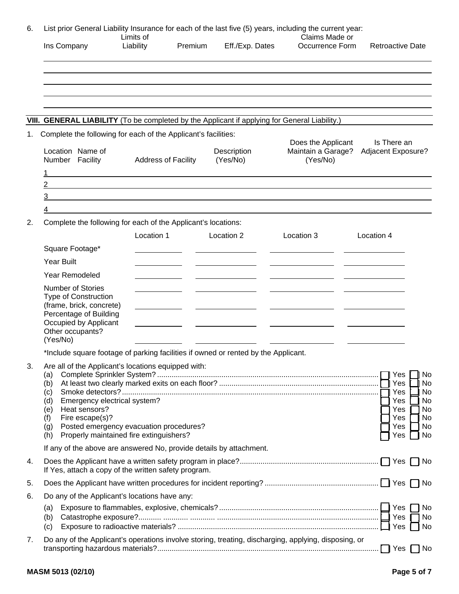| 6. | List prior General Liability Insurance for each of the last five (5) years, including the current year:<br>Claims Made or<br>Limits of                                 |                                                                                           |         |                         |  |                                                                                                      |                                |  |  |  |
|----|------------------------------------------------------------------------------------------------------------------------------------------------------------------------|-------------------------------------------------------------------------------------------|---------|-------------------------|--|------------------------------------------------------------------------------------------------------|--------------------------------|--|--|--|
|    | Ins Company                                                                                                                                                            | Liability                                                                                 | Premium | Eff./Exp. Dates         |  | Occurrence Form                                                                                      | <b>Retroactive Date</b>        |  |  |  |
|    |                                                                                                                                                                        |                                                                                           |         |                         |  |                                                                                                      |                                |  |  |  |
|    |                                                                                                                                                                        |                                                                                           |         |                         |  |                                                                                                      |                                |  |  |  |
|    |                                                                                                                                                                        |                                                                                           |         |                         |  |                                                                                                      |                                |  |  |  |
|    |                                                                                                                                                                        |                                                                                           |         |                         |  |                                                                                                      |                                |  |  |  |
|    | VIII. GENERAL LIABILITY (To be completed by the Applicant if applying for General Liability.)                                                                          |                                                                                           |         |                         |  |                                                                                                      |                                |  |  |  |
| 1. | Complete the following for each of the Applicant's facilities:                                                                                                         |                                                                                           |         |                         |  | Does the Applicant                                                                                   | Is There an                    |  |  |  |
|    | Location Name of<br>Number Facility                                                                                                                                    | <b>Address of Facility</b><br><u> 1989 - Johann Stoff, Amerikaansk politiker († 1908)</u> |         | Description<br>(Yes/No) |  | Maintain a Garage?<br>(Yes/No)                                                                       | Adjacent Exposure?             |  |  |  |
|    | $\overline{2}$                                                                                                                                                         |                                                                                           |         |                         |  |                                                                                                      |                                |  |  |  |
|    | 3                                                                                                                                                                      |                                                                                           |         |                         |  |                                                                                                      |                                |  |  |  |
|    | 4                                                                                                                                                                      |                                                                                           |         |                         |  |                                                                                                      |                                |  |  |  |
| 2. | Complete the following for each of the Applicant's locations:                                                                                                          |                                                                                           |         |                         |  |                                                                                                      |                                |  |  |  |
|    |                                                                                                                                                                        | Location 1                                                                                |         | Location 2              |  | Location 3                                                                                           | Location 4                     |  |  |  |
|    | Square Footage*                                                                                                                                                        |                                                                                           |         |                         |  |                                                                                                      |                                |  |  |  |
|    | <b>Year Built</b>                                                                                                                                                      |                                                                                           |         |                         |  |                                                                                                      |                                |  |  |  |
|    | Year Remodeled                                                                                                                                                         |                                                                                           |         |                         |  |                                                                                                      |                                |  |  |  |
|    | <b>Number of Stories</b><br><b>Type of Construction</b><br>(frame, brick, concrete)<br>Percentage of Building<br>Occupied by Applicant<br>Other occupants?<br>(Yes/No) |                                                                                           |         |                         |  |                                                                                                      |                                |  |  |  |
|    | *Include square footage of parking facilities if owned or rented by the Applicant.                                                                                     |                                                                                           |         |                         |  |                                                                                                      |                                |  |  |  |
| 3. | Are all of the Applicant's locations equipped with:<br>No<br>II Yes<br>(a)<br>Yes<br>No<br>(b)<br>¶ Yes<br>No<br>(c)<br>Emergency electrical system?                   |                                                                                           |         |                         |  |                                                                                                      |                                |  |  |  |
|    | (d)<br>Heat sensors?<br>(e)<br>Fire escape(s)?<br>(f)<br>Posted emergency evacuation procedures?<br>(g)<br>Properly maintained fire extinguishers?<br>(h)              | Yes<br>No<br>Yes<br>No<br>Yes<br>No<br>Yes<br>No<br>Yes<br>No                             |         |                         |  |                                                                                                      |                                |  |  |  |
|    | If any of the above are answered No, provide details by attachment.                                                                                                    |                                                                                           |         |                         |  |                                                                                                      |                                |  |  |  |
| 4. | If Yes, attach a copy of the written safety program.                                                                                                                   |                                                                                           |         |                         |  |                                                                                                      |                                |  |  |  |
| 5. |                                                                                                                                                                        |                                                                                           |         |                         |  |                                                                                                      |                                |  |  |  |
| 6. | Do any of the Applicant's locations have any:                                                                                                                          |                                                                                           |         |                         |  |                                                                                                      |                                |  |  |  |
|    | (a)<br>(b)<br>(c)                                                                                                                                                      |                                                                                           |         |                         |  |                                                                                                      | l No<br>Yes<br>No<br>Yes<br>No |  |  |  |
| 7. |                                                                                                                                                                        |                                                                                           |         |                         |  | Do any of the Applicant's operations involve storing, treating, discharging, applying, disposing, or | No                             |  |  |  |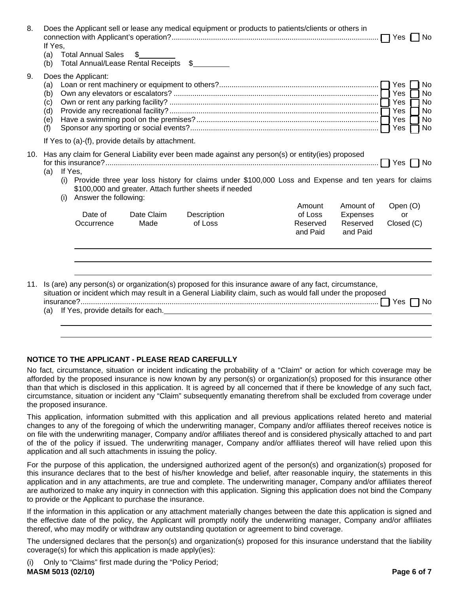| 8.  | If Yes.<br>(a)<br>(b)                                                                                                                                                                                                                                                                                                           | <b>Total Annual Sales</b> | \$<br>Total Annual/Lease Rental Receipts \$       | Does the Applicant sell or lease any medical equipment or products to patients/clients or others in                                                                                                                                                                                                                                                                                                                                                    |                                 |                                         |                                          |
|-----|---------------------------------------------------------------------------------------------------------------------------------------------------------------------------------------------------------------------------------------------------------------------------------------------------------------------------------|---------------------------|---------------------------------------------------|--------------------------------------------------------------------------------------------------------------------------------------------------------------------------------------------------------------------------------------------------------------------------------------------------------------------------------------------------------------------------------------------------------------------------------------------------------|---------------------------------|-----------------------------------------|------------------------------------------|
| 9.  | (a)<br>(b)<br>(c)<br>(d)<br>(e)<br>(f)                                                                                                                                                                                                                                                                                          | Does the Applicant:       |                                                   |                                                                                                                                                                                                                                                                                                                                                                                                                                                        |                                 |                                         | No<br><b>No</b><br>No<br>No<br>No<br>No. |
|     |                                                                                                                                                                                                                                                                                                                                 |                           | If Yes to (a)-(f), provide details by attachment. |                                                                                                                                                                                                                                                                                                                                                                                                                                                        |                                 |                                         |                                          |
|     | 10. Has any claim for General Liability ever been made against any person(s) or entity(ies) proposed<br>If Yes,<br>(a)<br>Provide three year loss history for claims under \$100,000 Loss and Expense and ten years for claims<br>(i)<br>\$100,000 and greater. Attach further sheets if needed<br>Answer the following:<br>(i) |                           |                                                   | Amount                                                                                                                                                                                                                                                                                                                                                                                                                                                 | Amount of                       | Open (O)                                |                                          |
|     |                                                                                                                                                                                                                                                                                                                                 | Date of<br>Occurrence     | Date Claim<br>Made                                | Description<br>of Loss                                                                                                                                                                                                                                                                                                                                                                                                                                 | of Loss<br>Reserved<br>and Paid | <b>Expenses</b><br>Reserved<br>and Paid | or<br>Closed (C)                         |
| 11. | (a)                                                                                                                                                                                                                                                                                                                             |                           |                                                   | Is (are) any person(s) or organization(s) proposed for this insurance aware of any fact, circumstance,<br>situation or incident which may result in a General Liability claim, such as would fall under the proposed<br>If Yes, provide details for each. The state of the state of the state of the state of the state of the state of the state of the state of the state of the state of the state of the state of the state of the state of the st |                                 |                                         |                                          |

## **NOTICE TO THE APPLICANT - PLEASE READ CAREFULLY**

No fact, circumstance, situation or incident indicating the probability of a "Claim" or action for which coverage may be afforded by the proposed insurance is now known by any person(s) or organization(s) proposed for this insurance other than that which is disclosed in this application. It is agreed by all concerned that if there be knowledge of any such fact, circumstance, situation or incident any "Claim" subsequently emanating therefrom shall be excluded from coverage under the proposed insurance.

This application, information submitted with this application and all previous applications related hereto and material changes to any of the foregoing of which the underwriting manager, Company and/or affiliates thereof receives notice is on file with the underwriting manager, Company and/or affiliates thereof and is considered physically attached to and part of the of the policy if issued. The underwriting manager, Company and/or affiliates thereof will have relied upon this application and all such attachments in issuing the policy.

For the purpose of this application, the undersigned authorized agent of the person(s) and organization(s) proposed for this insurance declares that to the best of his/her knowledge and belief, after reasonable inquiry, the statements in this application and in any attachments, are true and complete. The underwriting manager, Company and/or affiliates thereof are authorized to make any inquiry in connection with this application. Signing this application does not bind the Company to provide or the Applicant to purchase the insurance.

If the information in this application or any attachment materially changes between the date this application is signed and the effective date of the policy, the Applicant will promptly notify the underwriting manager, Company and/or affiliates thereof, who may modify or withdraw any outstanding quotation or agreement to bind coverage.

The undersigned declares that the person(s) and organization(s) proposed for this insurance understand that the liability coverage(s) for which this application is made apply(ies):